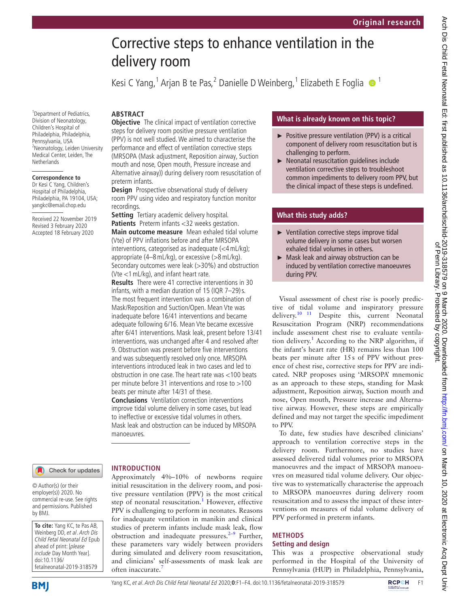# Corrective steps to enhance ventilation in the delivery room

Kesi C Yang,<sup>1</sup> Arjan B te Pas,<sup>2</sup> Danielle D Weinberg,<sup>1</sup> Elizabeth E Foglia  $\bullet$ <sup>1</sup>

## **ARSTRACT**

preterm infants.

recordings.

**Objective** The clinical impact of ventilation corrective steps for delivery room positive pressure ventilation (PPV) is not well studied. We aimed to characterise the performance and effect of ventilation corrective steps (MRSOPA (Mask adjustment, Reposition airway, Suction mouth and nose, Open mouth, Pressure increase and Alternative airway)) during delivery room resuscitation of

**Design** Prospective observational study of delivery room PPV using video and respiratory function monitor

**Results** There were 41 corrective interventions in 30 infants, with a median duration of 15 (IQR  $7-29$ ) s. The most frequent intervention was a combination of Mask/Reposition and Suction/Open. Mean Vte was inadequate before 16/41 interventions and became adequate following 6/16. Mean Vte became excessive after 6/41 interventions. Mask leak, present before 13/41 interventions, was unchanged after 4 and resolved after 9. Obstruction was present before five interventions and was subsequently resolved only once. MRSOPA interventions introduced leak in two cases and led to obstruction in one case. The heart rate was <100 beats per minute before 31 interventions and rose to >100

**Setting** Tertiary academic delivery hospital. **Patients** Preterm infants <32 weeks gestation. **Main outcome measure** Mean exhaled tidal volume (Vte) of PPV inflations before and after MRSOPA interventions, categorised as inadequate (<4mL/kg); appropriate (4–8mL/kg), or excessive (>8mL/kg). Secondary outcomes were leak (>30%) and obstruction

(Vte <1mL/kg), and infant heart rate.

beats per minute after 14/31 of these.

**Conclusions** Ventilation correction interventions improve tidal volume delivery in some cases, but lead to ineffective or excessive tidal volumes in others. Mask leak and obstruction can be induced by MRSOPA

Approximately 4%–10% of newborns require

studies of preterm infants include mask leak, flow obstruction and inadequate pressures. $2-9$  Further, these parameters vary widely between providers during simulated and delivery room resuscitation, and clinicians' self-assessments of mask leak are

<sup>1</sup> Department of Pediatrics, Division of Neonatology, Children's Hospital of Philadelphia, Philadelphia, Pennsylvania, USA <sup>2</sup>Neonatology, Leiden University Medical Center, Leiden, The **Netherlands** 

#### **Correspondence to**

Dr Kesi C Yang, Children's Hospital of Philadelphia, Philadelphia, PA 19104, USA; yangkc@email.chop.edu

Received 22 November 2019 Revised 3 February 2020 Accepted 18 February 2020

Check for updates O

## **Introduction**

often inaccurate.

manoeuvres.

© Author(s) (or their employer(s)) 2020. No commercial re-use. See rights and permissions. Published by BMJ. initial resuscitation in the delivery room, and positive pressure ventilation (PPV) is the most critical step of neonatal resuscitation.<sup>[1](#page-3-0)</sup> However, effective PPV is challenging to perform in neonates. Reasons for inadequate ventilation in manikin and clinical

**To cite:** Yang KC, te Pas AB, Weinberg DD, et al. Arch Dis Child Fetal Neonatal Ed Epub ahead of print: [please include Day Month Year]. doi:10.1136/ fetalneonatal-2019-318579

YangKC, et al. Arch Dis Child Fetal Neonatal Ed 2020;**0**:F1–F4. doi:10.1136/fetalneonatal-2019-318579 **FRCPCH** F1

## **What is already known on this topic?**

- ► Positive pressure ventilation (PPV) is a critical component of delivery room resuscitation but is challenging to perform.
- ► Neonatal resuscitation guidelines include ventilation corrective steps to troubleshoot common impediments to delivery room PPV, but the clinical impact of these steps is undefined.

## **What this study adds?**

- ► Ventilation corrective steps improve tidal volume delivery in some cases but worsen exhaled tidal volumes in others.
- ► Mask leak and airway obstruction can be induced by ventilation corrective manoeuvres during PPV.

Visual assessment of chest rise is poorly predictive of tidal volume and inspiratory pressure delivery.<sup>10</sup> <sup>11</sup> Despite this, current Neonatal Resuscitation Program (NRP) recommendations include assessment chest rise to evaluate ventila-tion delivery.<sup>[1](#page-3-0)</sup> According to the NRP algorithm, if the infant's heart rate (HR) remains less than 100 beats per minute after 15s of PPV without presence of chest rise, corrective steps for PPV are indicated. NRP proposes using 'MRSOPA' mnemonic as an approach to these steps, standing for Mask adjustment, Reposition airway, Suction mouth and nose, Open mouth, Pressure increase and Alternative airway. However, these steps are empirically defined and may not target the specific impediment to PPV.

To date, few studies have described clinicians' approach to ventilation corrective steps in the delivery room. Furthermore, no studies have assessed delivered tidal volumes prior to MRSOPA manoeuvres and the impact of MRSOPA manoeuvres on measured tidal volume delivery. Our objective was to systematically characterise the approach to MRSOPA manoeuvres during delivery room resuscitation and to assess the impact of these interventions on measures of tidal volume delivery of PPV performed in preterm infants.

## **Methods**

#### **Setting and design**

This was a prospective observational study performed in the Hospital of the University of Pennsylvania (HUP) in Philadelphia, Pennsylvania,

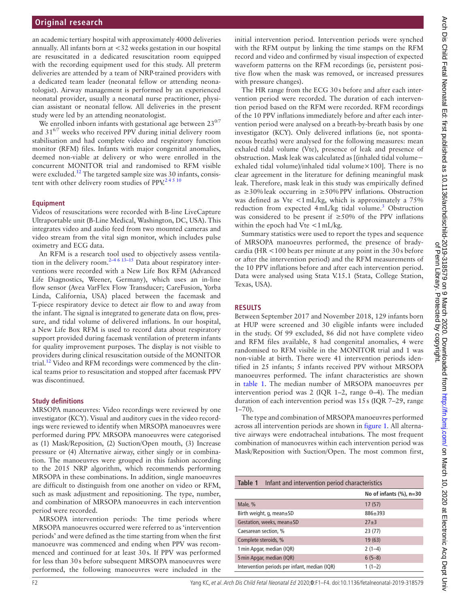an academic tertiary hospital with approximately 4000 deliveries annually. All infants born at <32 weeks gestation in our hospital are resuscitated in a dedicated resuscitation room equipped with the recording equipment used for this study. All preterm deliveries are attended by a team of NRP-trained providers with a dedicated team leader (neonatal fellow or attending neonatologist). Airway management is performed by an experienced neonatal provider, usually a neonatal nurse practitioner, physician assistant or neonatal fellow. All deliveries in the present study were led by an attending neonatologist.

We enrolled inborn infants with gestational age between  $23^{0/7}$ and  $31^{6/7}$  weeks who received PPV during initial delivery room stabilisation and had complete video and respiratory function monitor (RFM) files. Infants with major congenital anomalies, deemed non-viable at delivery or who were enrolled in the concurrent MONITOR trial and randomised to RFM visible were excluded.<sup>[12](#page-3-4)</sup> The targeted sample size was 30 infants, consistent with other delivery room studies of  $PPV<sup>24510</sup>$ 

#### **Equipment**

Videos of resuscitations were recorded with B-line LiveCapture Ultraportable unit (B-Line Medical, Washington, DC, USA). This integrates video and audio feed from two mounted cameras and video stream from the vital sign monitor, which includes pulse oximetry and ECG data.

An RFM is a research tool used to objectively assess ventilation in the delivery room.<sup>2–4 6 13–15</sup> Data about respiratory interventions were recorded with a New Life Box RFM (Advanced Life Diagnostics, Weener, Germany), which uses an in-line flow sensor (Avea VarFlex Flow Transducer; CareFusion, Yorba Linda, California, USA) placed between the facemask and T-piece respiratory device to detect air flow to and away from the infant. The signal is integrated to generate data on flow, pressure, and tidal volume of delivered inflations. In our hospital, a New Life Box RFM is used to record data about respiratory support provided during facemask ventilation of preterm infants for quality improvement purposes. The display is not visible to providers during clinical resuscitation outside of the MONITOR trial.<sup>12</sup> Video and RFM recordings were commenced by the clinical teams prior to resuscitation and stopped after facemask PPV was discontinued.

#### **Study definitions**

MRSOPA manoeuvres: Video recordings were reviewed by one investigator (KCY). Visual and auditory cues in the video recordings were reviewed to identify when MRSOPA manoeuvres were performed during PPV. MRSOPA manoeuvres were categorised as (1) Mask/Reposition, (2) Suction/Open mouth, (3) Increase pressure or (4) Alternative airway, either singly or in combination. The manoeuvres were grouped in this fashion according to the 2015 NRP algorithm, which recommends performing MRSOPA in these combinations. In addition, single manoeuvres are difficult to distinguish from one another on video or RFM, such as mask adjustment and repositioning. The type, number, and combination of MRSOPA manoeuvres in each intervention period were recorded.

MRSOPA intervention periods: The time periods where MRSOPA manoeuvres occurred were referred to as 'intervention periods' and were defined as the time starting from when the first manoeuvre was commenced and ending when PPV was recommenced and continued for at least 30s. If PPV was performed for less than 30s before subsequent MRSOPA manoeuvres were performed, the following manoeuvres were included in the

initial intervention period. Intervention periods were synched with the RFM output by linking the time stamps on the RFM record and video and confirmed by visual inspection of expected waveform patterns on the RFM recordings (ie, persistent positive flow when the mask was removed, or increased pressures with pressure changes).

The HR range from the ECG 30s before and after each intervention period were recorded. The duration of each intervention period based on the RFM were recorded. RFM recordings of the 10 PPV inflations immediately before and after each intervention period were analysed on a breath-by-breath basis by one investigator (KCY). Only delivered inflations (ie, not spontaneous breaths) were analysed for the following measures: mean exhaled tidal volume (Vte), presence of leak and presence of obstruction. Mask leak was calculated as [(inhaled tidal volume− exhaled tidal volume)/inhaled tidal volume×100]. There is no clear agreement in the literature for defining meaningful mask leak. Therefore, mask leak in this study was empirically defined as ≥30%leak occurring in ≥50%PPV inflations. Obstruction was defined as Vte  $\langle 1 \text{ mL/kg}$ , which is approximately a 75% reduction from expected 4 mL/kg tidal volume.<sup>[3](#page-3-5)</sup> Obstruction was considered to be present if ≥50% of the PPV inflations within the epoch had Vte <1mL/kg.

Summary statistics were used to report the types and sequence of MRSOPA manoeuvres performed, the presence of bradycardia (HR <100 beats per minute at any point in the 30s before or after the intervention period) and the RFM measurements of the 10 PPV inflations before and after each intervention period. Data were analysed using Stata V.15.1 (Stata, College Station, Texas, USA).

#### **Results**

Between September 2017 and November 2018, 129 infants born at HUP were screened and 30 eligible infants were included in the study. Of 99 excluded, 86 did not have complete video and RFM files available, 8 had congenital anomalies, 4 were randomised to RFM visible in the MONITOR trial and 1 was non-viable at birth. There were 41 intervention periods identified in 25 infants; 5 infants received PPV without MRSOPA manoeuvres performed. The infant characteristics are shown in [table](#page-1-0) 1. The median number of MRSOPA manoeuvres per intervention period was 2 (IQR 1–2, range 0–4). The median duration of each intervention period was 15s (IQR 7–29, range 1–70).

The type and combination of MRSOPA manoeuvres performed across all intervention periods are shown in [figure](#page-2-0) 1. All alternative airways were endotracheal intubations. The most frequent combination of manoeuvres within each intervention period was Mask/Reposition with Suction/Open. The most common first,

<span id="page-1-0"></span>

| Table 1<br>Infant and intervention period characteristics |                             |  |  |  |
|-----------------------------------------------------------|-----------------------------|--|--|--|
|                                                           | No of infants $(\%)$ , n=30 |  |  |  |
| Male, %                                                   | 17(57)                      |  |  |  |
| Birth weight, g, mean±SD                                  | $886 + 393$                 |  |  |  |
| Gestation, weeks, mean±SD                                 | $77 + 3$                    |  |  |  |
| Caesarean section, %                                      | 23 (77)                     |  |  |  |
| Complete steroids, %                                      | 19(63)                      |  |  |  |
| 1 min Apgar, median (IQR)                                 | $2(1-4)$                    |  |  |  |
| 5 min Apgar, median (IQR)                                 | $6(5-8)$                    |  |  |  |
| Intervention periods per infant, median (IQR)             | $1(1-2)$                    |  |  |  |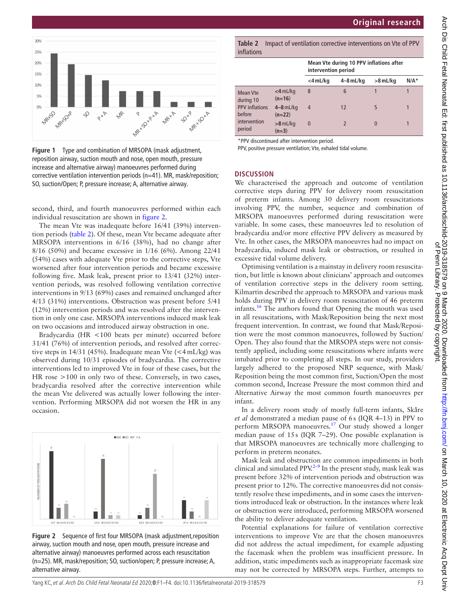

<span id="page-2-0"></span>**Figure 1** Type and combination of MRSOPA (mask adjustment, reposition airway, suction mouth and nose, open mouth, pressure increase and alternative airway) manoeuvres performed during corrective ventilation intervention periods (n=41). MR, mask/reposition; SO, suction/Open; P, pressure increase; A, alternative airway.

second, third, and fourth manoeuvres performed within each individual resuscitation are shown in [figure](#page-2-1) 2.

The mean Vte was inadequate before 16/41 (39%) intervention periods ([table](#page-2-2) 2). Of these, mean Vte became adequate after MRSOPA interventions in 6/16 (38%), had no change after 8/16 (50%) and became excessive in 1/16 (6%). Among 22/41 (54%) cases with adequate Vte prior to the corrective steps, Vte worsened after four intervention periods and became excessive following five. Mask leak, present prior to 13/41 (32%) intervention periods, was resolved following ventilation corrective interventions in 9/13 (69%) cases and remained unchanged after 4/13 (31%) interventions. Obstruction was present before 5/41 (12%) intervention periods and was resolved after the intervention in only one case. MRSOPA interventions induced mask leak on two occasions and introduced airway obstruction in one.

Bradycardia (HR <100 beats per minute) occurred before 31/41 (76%) of intervention periods, and resolved after corrective steps in 14/31 (45%). Inadequate mean Vte  $\left($  < 4 mL/kg) was observed during 10/31 episodes of bradycardia. The corrective interventions led to improved Vte in four of these cases, but the HR rose >100 in only two of these. Conversely, in two cases, bradycardia resolved after the corrective intervention while the mean Vte delivered was actually lower following the intervention. Performing MRSOPA did not worsen the HR in any occasion.



<span id="page-2-1"></span>**Figure 2** Sequence of first four MRSOPA (mask adjustment,reposition airway, suction mouth and nose, open mouth, pressure increase and alternative airway) manoeuvres performed across each resuscitation (n=25). MR, mask/reposition; SO, suction/open; P, pressure increase; A, alternative airway.

<span id="page-2-2"></span>**Table 2** Impact of ventilation corrective interventions on Vte of PPV inflations

|                                                                                                                       |             | Mean Vte during 10 PPV inflations after<br>intervention period |           |          |         |
|-----------------------------------------------------------------------------------------------------------------------|-------------|----------------------------------------------------------------|-----------|----------|---------|
|                                                                                                                       |             | <4 mL/kg                                                       | 4–8 mL/kg | >8 mL/kg | $N/A^*$ |
| Mean Vte<br>$(n=16)$<br>during 10<br><b>PPV</b> inflations<br>before<br>$(n=22)$<br>intervention<br>period<br>$(n=3)$ | $<$ 4 mL/kg | 8                                                              | 6         |          |         |
|                                                                                                                       | $4-8$ mL/kg | 4                                                              | 12        | 5        |         |
|                                                                                                                       | $>8$ mL/kg  | $\bf{0}$                                                       | 2         | $\theta$ |         |

\*PPV discontinued after intervention period.

PPV, positive pressure ventilation; Vte, exhaled tidal volume.

#### **Discussion**

We characterised the approach and outcome of ventilation corrective steps during PPV for delivery room resuscitation of preterm infants. Among 30 delivery room resuscitations involving PPV, the number, sequence and combination of MRSOPA manoeuvres performed during resuscitation were variable. In some cases, these manoeuvres led to resolution of bradycardia and/or more effective PPV delivery as measured by Vte. In other cases, the MRSOPA manoeuvres had no impact on bradycardia, induced mask leak or obstruction, or resulted in excessive tidal volume delivery.

Optimising ventilation is a mainstay in delivery room resuscitation, but little is known about clinicians' approach and outcomes of ventilation corrective steps in the delivery room setting. Kilmartin described the approach to MRSOPA and various mask holds during PPV in delivery room resuscitation of 46 preterm infants.<sup>16</sup> The authors found that Opening the mouth was used in all resuscitations, with Mask/Reposition being the next most frequent intervention. In contrast, we found that Mask/Reposition were the most common manoeuvres, followed by Suction/ Open. They also found that the MRSOPA steps were not consistently applied, including some resuscitations where infants were intubated prior to completing all steps. In our study, providers largely adhered to the proposed NRP sequence, with Mask/ Reposition being the most common first, Suction/Open the most common second, Increase Pressure the most common third and Alternative Airway the most common fourth manoeuvres per infant.

In a delivery room study of mostly full-term infants, Skåre *et al* demonstrated a median pause of 6s (IQR 4–13) in PPV to perform MRSOPA manoeuvres.[17](#page-3-7) Our study showed a longer median pause of 15s (IQR 7–29). One possible explanation is that MRSOPA manoeuvres are technically more challenging to perform in preterm neonates.

Mask leak and obstruction are common impediments in both clinical and simulated  $PPV^{2-9}$  In the present study, mask leak was present before 32% of intervention periods and obstruction was present prior to 12%. The corrective manoeuvres did not consistently resolve these impediments, and in some cases the interventions introduced leak or obstruction. In the instances where leak or obstruction were introduced, performing MRSOPA worsened the ability to deliver adequate ventilation.

Potential explanations for failure of ventilation corrective interventions to improve Vte are that the chosen manoeuvres did not address the actual impediment, for example adjusting the facemask when the problem was insufficient pressure. In addition, static impediments such as inappropriate facemask size may not be corrected by MRSOPA steps. Further, attempts to